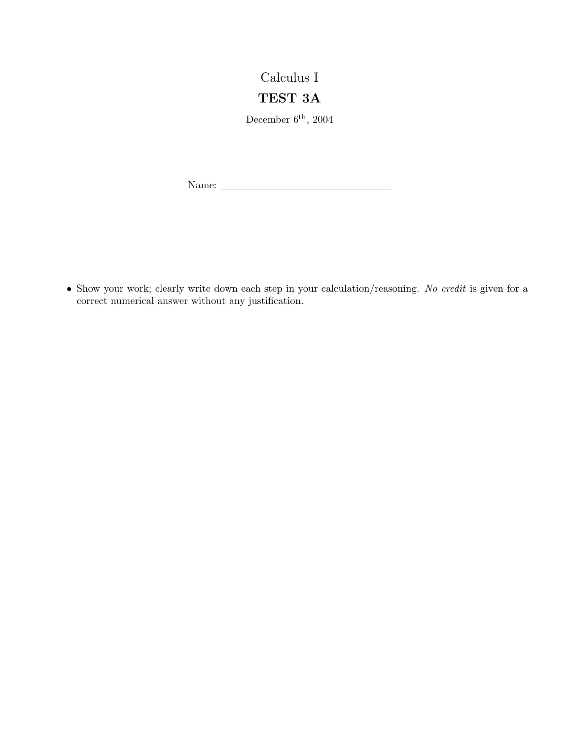## Calculus I

## TEST 3A

December  $6^{\text{th}}$ , 2004

Name:

• Show your work; clearly write down each step in your calculation/reasoning. No credit is given for a correct numerical answer without any justification.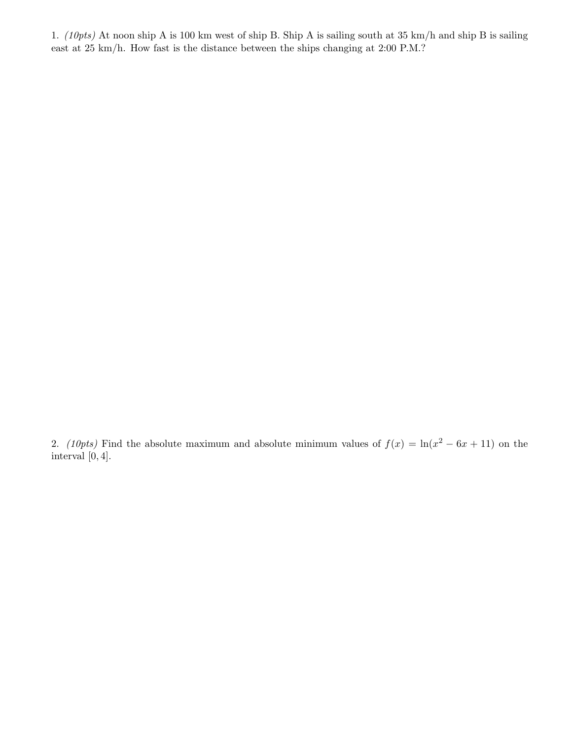1. (10pts) At noon ship A is 100 km west of ship B. Ship A is sailing south at 35 km/h and ship B is sailing east at 25 km/h. How fast is the distance between the ships changing at 2:00 P.M.?

2. (10pts) Find the absolute maximum and absolute minimum values of  $f(x) = \ln(x^2 - 6x + 11)$  on the interval  $[0, 4]$ .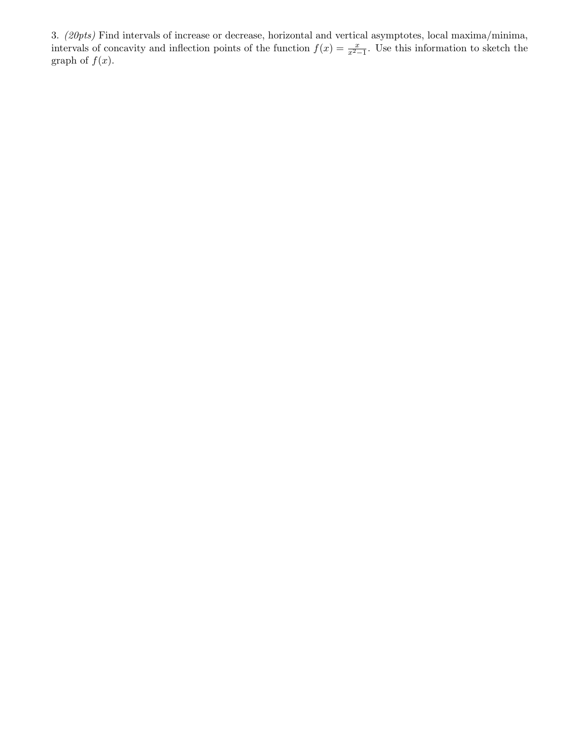3. (20pts) Find intervals of increase or decrease, horizontal and vertical asymptotes, local maxima/minima, intervals of concavity and inflection points of the function  $f(x) = \frac{x}{x^2-1}$ . Use this information to sketch the graph of  $f(x)$ .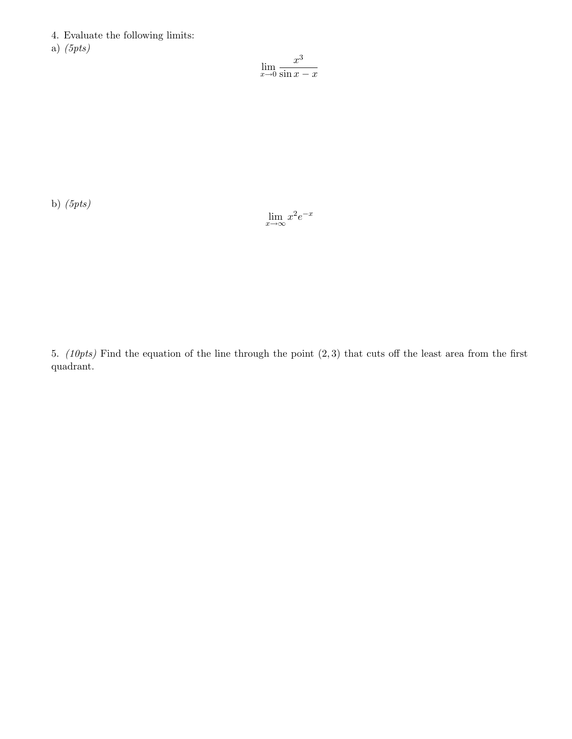4. Evaluate the following limits:

a)  $(5pts)$ 

$$
\lim_{x \to 0} \frac{x^3}{\sin x - x}
$$

b)  $(5pts)$ 

$$
\lim_{x \to \infty} x^2 e^{-x}
$$

5. (10pts) Find the equation of the line through the point (2, 3) that cuts off the least area from the first quadrant.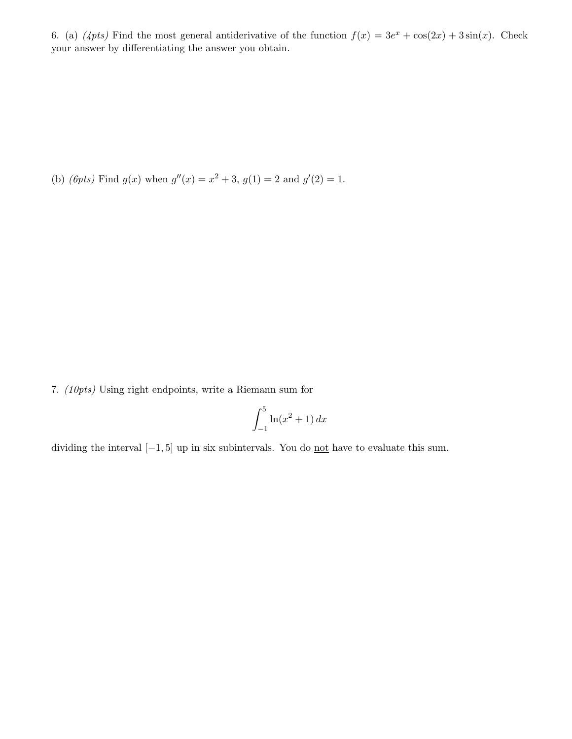6. (a)  $(4pts)$  Find the most general antiderivative of the function  $f(x) = 3e^x + \cos(2x) + 3\sin(x)$ . Check your answer by differentiating the answer you obtain.

(b) (*6pts*) Find  $g(x)$  when  $g''(x) = x^2 + 3$ ,  $g(1) = 2$  and  $g'(2) = 1$ .

7. (10pts) Using right endpoints, write a Riemann sum for

$$
\int_{-1}^{5} \ln(x^2 + 1) \, dx
$$

dividing the interval  $[-1, 5]$  up in six subintervals. You do <u>not</u> have to evaluate this sum.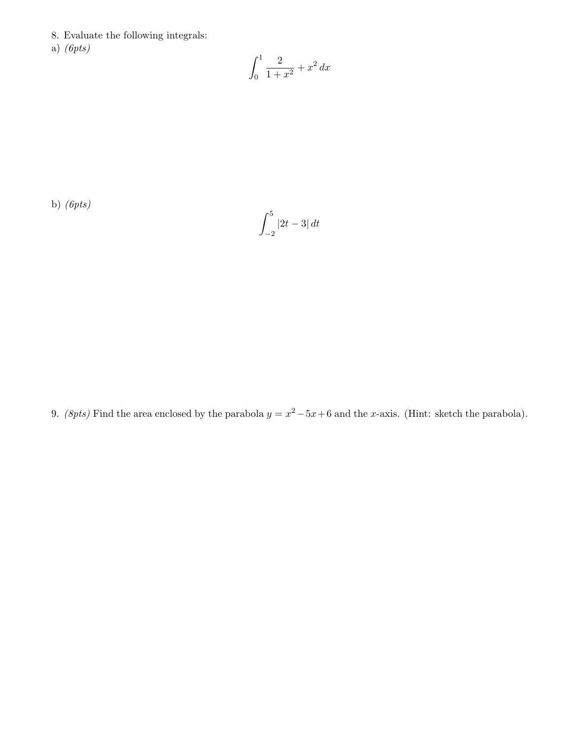- 8. Evaluate the following integrals:
- a) (6pts)

$$
\int_0^1 \frac{2}{1+x^2} + x^2 \, dx
$$

b)  $(6pts)$ 

$$
\int_{-2}^{5}\left\vert 2t-3\right\vert dt
$$

9. (8pts) Find the area enclosed by the parabola  $y = x^2 - 5x + 6$  and the x-axis. (Hint: sketch the parabola).